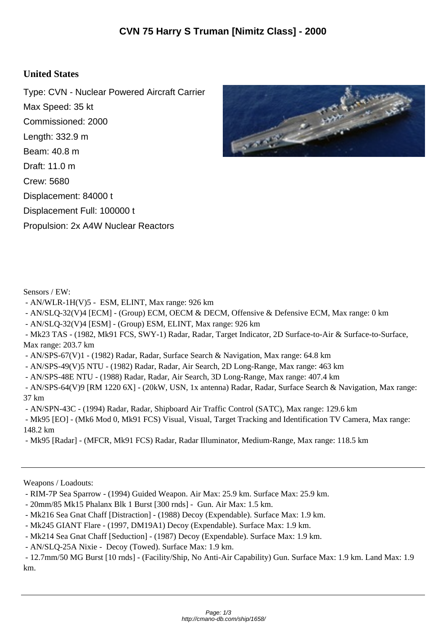## **United States**

Type: CVN - Nuclear Powered Aircraft Carrier Max Speed: 35 kt Commissioned: 2000 Length: 332.9 m Beam: 40.8 m Draft: 11.0 m Crew: 5680 Displacement: 84000 t Displacement Full: 100000 t Propulsion: 2x A4W Nuclear Reactors



Sensors / EW:

- AN/WLR-1H(V)5 - ESM, ELINT, Max range: 926 km

- AN/SLQ-32(V)4 [ECM] - (Group) ECM, OECM & DECM, Offensive & Defensive ECM, Max range: 0 km

- AN/SLQ-32(V)4 [ESM] - (Group) ESM, ELINT, Max range: 926 km

 - Mk23 TAS - (1982, Mk91 FCS, SWY-1) Radar, Radar, Target Indicator, 2D Surface-to-Air & Surface-to-Surface, Max range: 203.7 km

- AN/SPS-67(V)1 - (1982) Radar, Radar, Surface Search & Navigation, Max range: 64.8 km

- AN/SPS-49(V)5 NTU - (1982) Radar, Radar, Air Search, 2D Long-Range, Max range: 463 km

- AN/SPS-48E NTU - (1988) Radar, Radar, Air Search, 3D Long-Range, Max range: 407.4 km

 - AN/SPS-64(V)9 [RM 1220 6X] - (20kW, USN, 1x antenna) Radar, Radar, Surface Search & Navigation, Max range: 37 km

- AN/SPN-43C - (1994) Radar, Radar, Shipboard Air Traffic Control (SATC), Max range: 129.6 km

 - Mk95 [EO] - (Mk6 Mod 0, Mk91 FCS) Visual, Visual, Target Tracking and Identification TV Camera, Max range: 148.2 km

- Mk95 [Radar] - (MFCR, Mk91 FCS) Radar, Radar Illuminator, Medium-Range, Max range: 118.5 km

Weapons / Loadouts:

- 20mm/85 Mk15 Phalanx Blk 1 Burst [300 rnds] Gun. Air Max: 1.5 km.
- Mk216 Sea Gnat Chaff [Distraction] (1988) Decoy (Expendable). Surface Max: 1.9 km.
- Mk245 GIANT Flare (1997, DM19A1) Decoy (Expendable). Surface Max: 1.9 km.
- Mk214 Sea Gnat Chaff [Seduction] (1987) Decoy (Expendable). Surface Max: 1.9 km.

- AN/SLQ-25A Nixie - Decoy (Towed). Surface Max: 1.9 km.

 - 12.7mm/50 MG Burst [10 rnds] - (Facility/Ship, No Anti-Air Capability) Gun. Surface Max: 1.9 km. Land Max: 1.9 km.

 <sup>-</sup> RIM-7P Sea Sparrow - (1994) Guided Weapon. Air Max: 25.9 km. Surface Max: 25.9 km.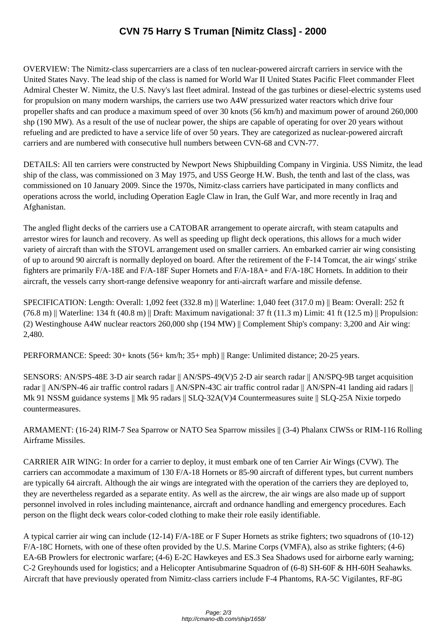OVERVIEW: The Nimitz-cl[ass supercarriers are a class of ten nuclear-powered aircraft carr](http://cmano-db.com/ship/1658/)iers in service with the United States Navy. The lead ship of the class is named for World War II United States Pacific Fleet commander Fleet Admiral Chester W. Nimitz, the U.S. Navy's last fleet admiral. Instead of the gas turbines or diesel-electric systems used for propulsion on many modern warships, the carriers use two A4W pressurized water reactors which drive four propeller shafts and can produce a maximum speed of over 30 knots (56 km/h) and maximum power of around 260,000 shp (190 MW). As a result of the use of nuclear power, the ships are capable of operating for over 20 years without refueling and are predicted to have a service life of over 50 years. They are categorized as nuclear-powered aircraft carriers and are numbered with consecutive hull numbers between CVN-68 and CVN-77.

DETAILS: All ten carriers were constructed by Newport News Shipbuilding Company in Virginia. USS Nimitz, the lead ship of the class, was commissioned on 3 May 1975, and USS George H.W. Bush, the tenth and last of the class, was commissioned on 10 January 2009. Since the 1970s, Nimitz-class carriers have participated in many conflicts and operations across the world, including Operation Eagle Claw in Iran, the Gulf War, and more recently in Iraq and Afghanistan.

The angled flight decks of the carriers use a CATOBAR arrangement to operate aircraft, with steam catapults and arrestor wires for launch and recovery. As well as speeding up flight deck operations, this allows for a much wider variety of aircraft than with the STOVL arrangement used on smaller carriers. An embarked carrier air wing consisting of up to around 90 aircraft is normally deployed on board. After the retirement of the F-14 Tomcat, the air wings' strike fighters are primarily F/A-18E and F/A-18F Super Hornets and F/A-18A+ and F/A-18C Hornets. In addition to their aircraft, the vessels carry short-range defensive weaponry for anti-aircraft warfare and missile defense.

SPECIFICATION: Length: Overall: 1,092 feet (332.8 m) || Waterline: 1,040 feet (317.0 m) || Beam: Overall: 252 ft  $(76.8 \text{ m})$  || Waterline: 134 ft (40.8 m) || Draft: Maximum navigational: 37 ft (11.3 m) Limit: 41 ft (12.5 m) || Propulsion: (2) Westinghouse A4W nuclear reactors 260,000 shp (194 MW) || Complement Ship's company: 3,200 and Air wing: 2,480.

PERFORMANCE: Speed: 30+ knots (56+ km/h; 35+ mph) || Range: Unlimited distance; 20-25 years.

SENSORS: AN/SPS-48E 3-D air search radar || AN/SPS-49(V)5 2-D air search radar || AN/SPQ-9B target acquisition radar || AN/SPN-46 air traffic control radars || AN/SPN-43C air traffic control radar || AN/SPN-41 landing aid radars || Mk 91 NSSM guidance systems || Mk 95 radars || SLQ-32A(V)4 Countermeasures suite || SLQ-25A Nixie torpedo countermeasures.

ARMAMENT: (16-24) RIM-7 Sea Sparrow or NATO Sea Sparrow missiles || (3-4) Phalanx CIWSs or RIM-116 Rolling Airframe Missiles.

CARRIER AIR WING: In order for a carrier to deploy, it must embark one of ten Carrier Air Wings (CVW). The carriers can accommodate a maximum of 130 F/A-18 Hornets or 85-90 aircraft of different types, but current numbers are typically 64 aircraft. Although the air wings are integrated with the operation of the carriers they are deployed to, they are nevertheless regarded as a separate entity. As well as the aircrew, the air wings are also made up of support personnel involved in roles including maintenance, aircraft and ordnance handling and emergency procedures. Each person on the flight deck wears color-coded clothing to make their role easily identifiable.

A typical carrier air wing can include (12-14) F/A-18E or F Super Hornets as strike fighters; two squadrons of (10-12) F/A-18C Hornets, with one of these often provided by the U.S. Marine Corps (VMFA), also as strike fighters; (4-6) EA-6B Prowlers for electronic warfare; (4-6) E-2C Hawkeyes and ES.3 Sea Shadows used for airborne early warning; C-2 Greyhounds used for logistics; and a Helicopter Antisubmarine Squadron of (6-8) SH-60F & HH-60H Seahawks. Aircraft that have previously operated from Nimitz-class carriers include F-4 Phantoms, RA-5C Vigilantes, RF-8G